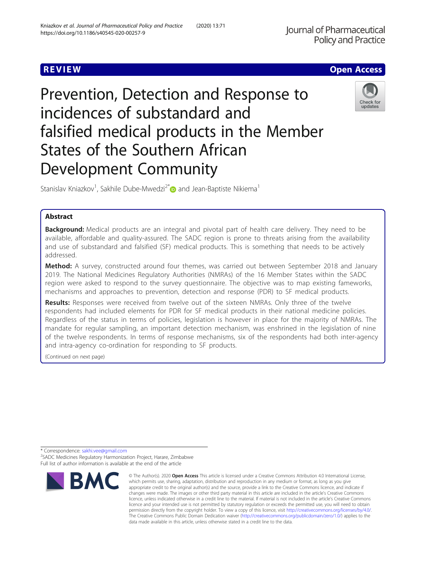

# Prevention, Detection and Response to incidences of substandard and falsified medical products in the Member States of the Southern African Development Community



Stanislav Kniazkov<sup>1</sup>, Sakhile Dube-Mwedzi<sup>2[\\*](http://orcid.org/0000-0003-2999-7513)</sup> and Jean-Baptiste Nikiema<sup>1</sup>

# Abstract

**Background:** Medical products are an integral and pivotal part of health care delivery. They need to be available, affordable and quality-assured. The SADC region is prone to threats arising from the availability and use of substandard and falsified (SF) medical products. This is something that needs to be actively addressed.

Method: A survey, constructed around four themes, was carried out between September 2018 and January 2019. The National Medicines Regulatory Authorities (NMRAs) of the 16 Member States within the SADC region were asked to respond to the survey questionnaire. The objective was to map existing fameworks, mechanisms and approaches to prevention, detection and response (PDR) to SF medical products.

Results: Responses were received from twelve out of the sixteen NMRAs. Only three of the twelve respondents had included elements for PDR for SF medical products in their national medicine policies. Regardless of the status in terms of policies, legislation is however in place for the majority of NMRAs. The mandate for regular sampling, an important detection mechanism, was enshrined in the legislation of nine of the twelve respondents. In terms of response mechanisms, six of the respondents had both inter-agency and intra-agency co-ordination for responding to SF products.

(Continued on next page)

\* Correspondence: [sakhi.vee@gmail.com](mailto:sakhi.vee@gmail.com) <sup>2</sup> SADC Medicines Regulatory Harmonization Project, Harare, Zimbabwe Full list of author information is available at the end of the article



<sup>©</sup> The Author(s), 2020 **Open Access** This article is licensed under a Creative Commons Attribution 4.0 International License, which permits use, sharing, adaptation, distribution and reproduction in any medium or format, as long as you give appropriate credit to the original author(s) and the source, provide a link to the Creative Commons licence, and indicate if changes were made. The images or other third party material in this article are included in the article's Creative Commons licence, unless indicated otherwise in a credit line to the material. If material is not included in the article's Creative Commons licence and your intended use is not permitted by statutory regulation or exceeds the permitted use, you will need to obtain permission directly from the copyright holder. To view a copy of this licence, visit [http://creativecommons.org/licenses/by/4.0/.](http://creativecommons.org/licenses/by/4.0/) The Creative Commons Public Domain Dedication waiver [\(http://creativecommons.org/publicdomain/zero/1.0/](http://creativecommons.org/publicdomain/zero/1.0/)) applies to the data made available in this article, unless otherwise stated in a credit line to the data.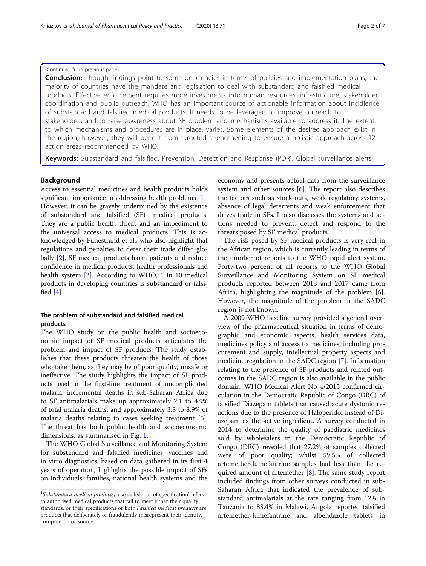# (Continued from previous page)

**Conclusion:** Though findings point to some deficiencies in terms of policies and implementation plans, the majority of countries have the mandate and legislation to deal with substandard and falsified medical products. Effective enforcement requires more investments into human resources, infrastructure, stakeholder coordination and public outreach. WHO has an important source of actionable information about incidience of substandard and falsified medical products. It needs to be leveraged to improve outreach to stakeholders and to raise awareness about SF problem and mechanisms available to address it. The extent, to which mechanisms and procedures are in place, varies. Some elements of the desired approach exist in the region; however, they will benefit from targeted strengthening to ensure a holistic approach across 12 action areas recommended by WHO.

Keywords: Substandard and falsified, Prevention, Detection and Response (PDR), Global surveillance alerts

#### Background

Access to essential medicines and health products holds significant importance in addressing health problems [\[1](#page-6-0)]. However, it can be gravely undermined by the existence of substandard and falsified  $(SF)^1$  medical products. They are a public health threat and an impediment to the universal access to medical products. This is acknowledged by Funestrand et al., who also highlight that regulations and penalties to deter their trade differ globally [\[2](#page-6-0)]. SF medical products harm patients and reduce confidence in medical products, health professionals and health system [[3](#page-6-0)]. According to WHO, 1 in 10 medical products in developing countries is substandard or falsified [[4\]](#page-6-0).

# The problem of substandard and falsified medical products

The WHO study on the public health and socioeconomic impact of SF medical products articulates the problem and impact of SF products. The study establishes that these products threaten the health of those who take them, as they may be of poor quality, unsafe or ineffective. The study highlights the impact of SF products used in the first-line treatment of uncomplicated malaria: incremental deaths in sub-Saharan Africa due to SF antimalarials make up approximately 2.1 to 4.9% of total malaria deaths; and approximately 3.8 to 8.9% of malaria deaths relating to cases seeking treatment [\[5](#page-6-0)]. The threat has both public health and socioeconomic dimensions, as summarised in Fig. [1](#page-2-0).

The WHO Global Surveillance and Monitoring System for substandard and falsified medicines, vaccines and in vitro diagnostics, based on data gathered in its first 4 years of operation, highlights the possible impact of SFs on individuals, families, national health systems and the economy and presents actual data from the surveillance system and other sources  $[6]$  $[6]$ . The report also describes the factors such as stock-outs, weak regulatory systems, absence of legal deterrents and weak enforcement that drives trade in SFs. It also discusses the systems and actions needed to prevent, detect and respond to the threats posed by SF medical products.

The risk posed by SF medical products is very real in the African region, which is currently leading in terms of the number of reports to the WHO rapid alert system. Forty-two percent of all reports to the WHO Global Surveillance and Monitoring System on SF medical products reported between 2013 and 2017 came from Africa, highlighting the magnitude of the problem [\[6](#page-6-0)]. However, the magnitude of the problem in the SADC region is not known.

A 2009 WHO baseline survey provided a general overview of the pharmaceutical situation in terms of demographic and economic aspects, health services data, medicines policy and access to medicines, including procurement and supply, intellectual property aspects and medicine regulation in the SADC region [\[7](#page-6-0)]. Information relating to the presence of SF products and related outcomes in the SADC region is also available in the public domain. WHO Medical Alert No 4/2015 confirmed circulation in the Democratic Republic of Congo (DRC) of falsified Diazepam tablets that caused acute dystonic reactions due to the presence of Haloperidol instead of Diazepam as the active ingredient. A survey conducted in 2014 to determine the quality of paediatric medicines sold by wholesalers in the Democratic Republic of Congo (DRC) revealed that 27.2% of samples collected were of poor quality; whilst 59.5% of collected artemether-lumefantrine samples had less than the required amount of artemether [\[8](#page-6-0)]. The same study report included findings from other surveys conducted in sub-Saharan Africa that indicated the prevalence of substandard antimalarials at the rate ranging from 12% in Tanzania to 88.4% in Malawi. Angola reported falsified artemether-lumefantrine and albendazole tablets in

<sup>&</sup>lt;sup>1</sup>Substandard medical products, also called 'out of specification' refers to authorised medical products that fail to meet either their quality standards, or their specifications or both.Falsified medical products are products that deliberately or fraudulently misrepresent their identity, composition or source.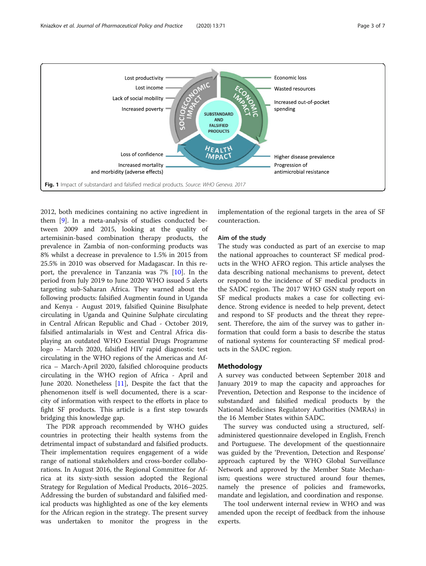<span id="page-2-0"></span>

2012, both medicines containing no active ingredient in them [[9\]](#page-6-0). In a meta-analysis of studies conducted between 2009 and 2015, looking at the quality of artemisinin-based combination therapy products, the prevalence in Zambia of non-conforming products was 8% whilst a decrease in prevalence to 1.5% in 2015 from 25.5% in 2010 was observed for Madagascar. In this report, the prevalence in Tanzania was 7% [[10](#page-6-0)]. In the period from July 2019 to June 2020 WHO issued 5 alerts targeting sub-Saharan Africa. They warned about the following products: falsified Augmentin found in Uganda and Kenya - August 2019, falsified Quinine Bisulphate circulating in Uganda and Quinine Sulphate circulating in Central African Republic and Chad - October 2019, falsified antimalarials in West and Central Africa displaying an outdated WHO Essential Drugs Programme logo – March 2020, falsified HIV rapid diagnostic test circulating in the WHO regions of the Americas and Africa – March-April 2020, falsified chloroquine products circulating in the WHO region of Africa - April and June 2020. Nonetheless [\[11\]](#page-6-0), Despite the fact that the phenomenon itself is well documented, there is a scarcity of information with respect to the efforts in place to fight SF products. This article is a first step towards bridging this knowledge gap.

The PDR approach recommended by WHO guides countries in protecting their health systems from the detrimental impact of substandard and falsified products. Their implementation requires engagement of a wide range of national stakeholders and cross-border collaborations. In August 2016, the Regional Committee for Africa at its sixty-sixth session adopted the Regional Strategy for Regulation of Medical Products, 2016–2025. Addressing the burden of substandard and falsified medical products was highlighted as one of the key elements for the African region in the strategy. The present survey was undertaken to monitor the progress in the implementation of the regional targets in the area of SF counteraction.

# Aim of the study

The study was conducted as part of an exercise to map the national approaches to counteract SF medical products in the WHO AFRO region. This article analyses the data describing national mechanisms to prevent, detect or respond to the incidence of SF medical products in the SADC region. The 2017 WHO GSN study report on SF medical products makes a case for collecting evidence. Strong evidence is needed to help prevent, detect and respond to SF products and the threat they represent. Therefore, the aim of the survey was to gather information that could form a basis to describe the status of national systems for counteracting SF medical products in the SADC region.

#### Methodology

A survey was conducted between September 2018 and January 2019 to map the capacity and approaches for Prevention, Detection and Response to the incidence of substandard and falsified medical products by the National Medicines Regulatory Authorities (NMRAs) in the 16 Member States within SADC.

The survey was conducted using a structured, selfadministered questionnaire developed in English, French and Portuguese. The development of the questionnaire was guided by the 'Prevention, Detection and Response' approach captured by the WHO Global Surveillance Network and approved by the Member State Mechanism; questions were structured around four themes, namely the presence of policies and frameworks, mandate and legislation, and coordination and response.

The tool underwent internal review in WHO and was amended upon the receipt of feedback from the inhouse experts.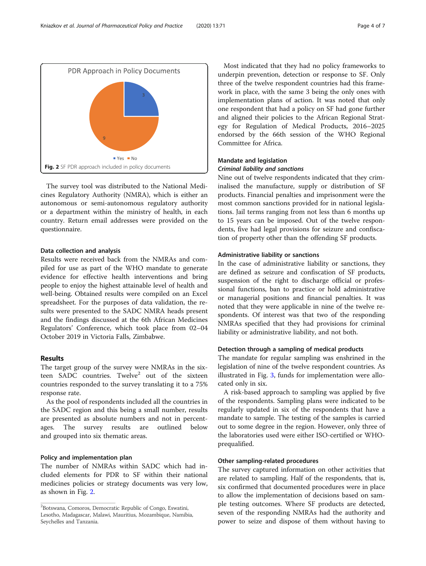

The survey tool was distributed to the National Medicines Regulatory Authority (NMRA), which is either an autonomous or semi-autonomous regulatory authority or a department within the ministry of health, in each country. Return email addresses were provided on the questionnaire.

#### Data collection and analysis

Results were received back from the NMRAs and compiled for use as part of the WHO mandate to generate evidence for effective health interventions and bring people to enjoy the highest attainable level of health and well-being. Obtained results were compiled on an Excel spreadsheet. For the purposes of data validation, the results were presented to the SADC NMRA heads present and the findings discussed at the 6th African Medicines Regulators' Conference, which took place from 02–04 October 2019 in Victoria Falls, Zimbabwe.

#### Results

The target group of the survey were NMRAs in the sixteen SADC countries. Twelve<sup>2</sup> out of the sixteen countries responded to the survey translating it to a 75% response rate.

As the pool of respondents included all the countries in the SADC region and this being a small number, results are presented as absolute numbers and not in percentages. The survey results are outlined below and grouped into six thematic areas.

# Policy and implementation plan

The number of NMRAs within SADC which had included elements for PDR to SF within their national medicines policies or strategy documents was very low, as shown in Fig. 2.

Most indicated that they had no policy frameworks to underpin prevention, detection or response to SF. Only three of the twelve respondent countries had this framework in place, with the same 3 being the only ones with implementation plans of action. It was noted that only one respondent that had a policy on SF had gone further and aligned their policies to the African Regional Strategy for Regulation of Medical Products, 2016–2025 endorsed by the 66th session of the WHO Regional Committee for Africa.

# Mandate and legislation Criminal liability and sanctions

Nine out of twelve respondents indicated that they criminalised the manufacture, supply or distribution of SF products. Financial penalties and imprisonment were the most common sanctions provided for in national legislations. Jail terms ranging from not less than 6 months up to 15 years can be imposed. Out of the twelve respondents, five had legal provisions for seizure and confiscation of property other than the offending SF products.

# Administrative liability or sanctions

In the case of administrative liability or sanctions, they are defined as seizure and confiscation of SF products, suspension of the right to discharge official or professional functions, ban to practice or hold administrative or managerial positions and financial penalties. It was noted that they were applicable in nine of the twelve respondents. Of interest was that two of the responding NMRAs specified that they had provisions for criminal liability or administrative liability, and not both.

#### Detection through a sampling of medical products

The mandate for regular sampling was enshrined in the legislation of nine of the twelve respondent countries. As illustrated in Fig. [3](#page-4-0), funds for implementation were allocated only in six.

A risk-based approach to sampling was applied by five of the respondents. Sampling plans were indicated to be regularly updated in six of the respondents that have a mandate to sample. The testing of the samples is carried out to some degree in the region. However, only three of the laboratories used were either ISO-certified or WHOprequalified.

### Other sampling-related procedures

The survey captured information on other activities that are related to sampling. Half of the respondents, that is, six confirmed that documented procedures were in place to allow the implementation of decisions based on sample testing outcomes. Where SF products are detected, seven of the responding NMRAs had the authority and power to seize and dispose of them without having to

<sup>&</sup>lt;sup>2</sup> Botswana, Comoros, Democratic Republic of Congo, Eswatini, Lesotho, Madagascar, Malawi, Mauritius, Mozambique, Namibia, Seychelles and Tanzania.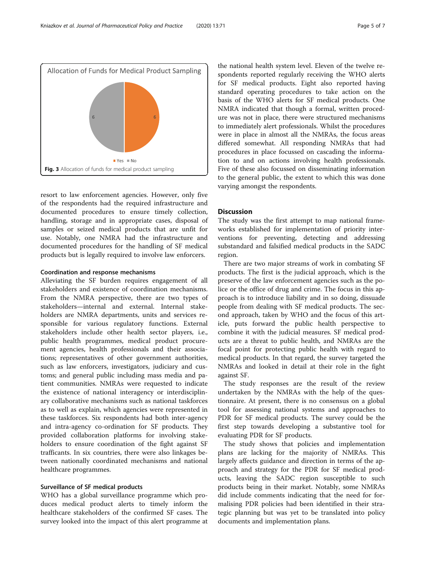<span id="page-4-0"></span>

resort to law enforcement agencies. However, only five of the respondents had the required infrastructure and documented procedures to ensure timely collection, handling, storage and in appropriate cases, disposal of samples or seized medical products that are unfit for use. Notably, one NMRA had the infrastructure and documented procedures for the handling of SF medical products but is legally required to involve law enforcers.

#### Coordination and response mechanisms

Alleviating the SF burden requires engagement of all stakeholders and existence of coordination mechanisms. From the NMRA perspective, there are two types of stakeholders—internal and external. Internal stakeholders are NMRA departments, units and services responsible for various regulatory functions. External stakeholders include other health sector players, i.e., public health programmes, medical product procurement agencies, health professionals and their associations; representatives of other government authorities, such as law enforcers, investigators, judiciary and customs; and general public including mass media and patient communities. NMRAs were requested to indicate the existence of national interagency or interdisciplinary collaborative mechanisms such as national taskforces as to well as explain, which agencies were represented in these taskforces. Six respondents had both inter-agency and intra-agency co-ordination for SF products. They provided collaboration platforms for involving stakeholders to ensure coordination of the fight against SF trafficants. In six countries, there were also linkages between nationally coordinated mechanisms and national healthcare programmes.

### Surveillance of SF medical products

WHO has a global surveillance programme which produces medical product alerts to timely inform the healthcare stakeholders of the confirmed SF cases. The survey looked into the impact of this alert programme at

the national health system level. Eleven of the twelve respondents reported regularly receiving the WHO alerts for SF medical products. Eight also reported having standard operating procedures to take action on the basis of the WHO alerts for SF medical products. One NMRA indicated that though a formal, written procedure was not in place, there were structured mechanisms to immediately alert professionals. Whilst the procedures were in place in almost all the NMRAs, the focus areas differed somewhat. All responding NMRAs that had procedures in place focussed on cascading the information to and on actions involving health professionals. Five of these also focussed on disseminating information to the general public, the extent to which this was done varying amongst the respondents.

#### **Discussion**

The study was the first attempt to map national frameworks established for implementation of priority interventions for preventing, detecting and addressing substandard and falsified medical products in the SADC region.

There are two major streams of work in combating SF products. The first is the judicial approach, which is the preserve of the law enforcement agencies such as the police or the office of drug and crime. The focus in this approach is to introduce liability and in so doing, dissuade people from dealing with SF medical products. The second approach, taken by WHO and the focus of this article, puts forward the public health perspective to combine it with the judicial measures. SF medical products are a threat to public health, and NMRAs are the focal point for protecting public health with regard to medical products. In that regard, the survey targeted the NMRAs and looked in detail at their role in the fight against SF.

The study responses are the result of the review undertaken by the NMRAs with the help of the questionnaire. At present, there is no consensus on a global tool for assessing national systems and approaches to PDR for SF medical products. The survey could be the first step towards developing a substantive tool for evaluating PDR for SF products.

The study shows that policies and implementation plans are lacking for the majority of NMRAs. This largely affects guidance and direction in terms of the approach and strategy for the PDR for SF medical products, leaving the SADC region susceptible to such products being in their market. Notably, some NMRAs did include comments indicating that the need for formalising PDR policies had been identified in their strategic planning but was yet to be translated into policy documents and implementation plans.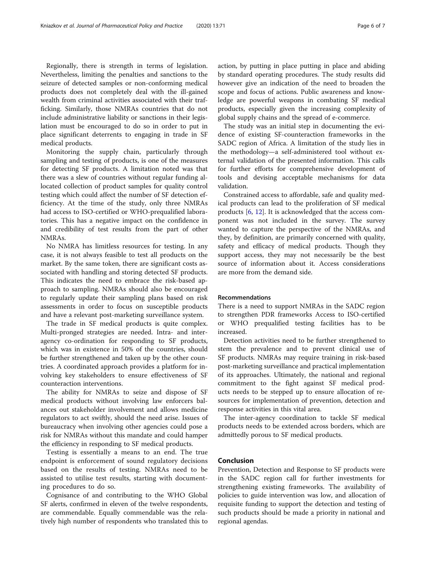Regionally, there is strength in terms of legislation. Nevertheless, limiting the penalties and sanctions to the seizure of detected samples or non-conforming medical products does not completely deal with the ill-gained wealth from criminal activities associated with their trafficking. Similarly, those NMRAs countries that do not include administrative liability or sanctions in their legislation must be encouraged to do so in order to put in place significant deterrents to engaging in trade in SF medical products.

Monitoring the supply chain, particularly through sampling and testing of products, is one of the measures for detecting SF products. A limitation noted was that there was a slew of countries without regular funding allocated collection of product samples for quality control testing which could affect the number of SF detection efficiency. At the time of the study, only three NMRAs had access to ISO-certified or WHO-prequalified laboratories. This has a negative impact on the confidence in and credibility of test results from the part of other NMRAs.

No NMRA has limitless resources for testing. In any case, it is not always feasible to test all products on the market. By the same token, there are significant costs associated with handling and storing detected SF products. This indicates the need to embrace the risk-based approach to sampling. NMRAs should also be encouraged to regularly update their sampling plans based on risk assessments in order to focus on susceptible products and have a relevant post-marketing surveillance system.

The trade in SF medical products is quite complex. Multi-pronged strategies are needed. Intra- and interagency co-ordination for responding to SF products, which was in existence in 50% of the countries, should be further strengthened and taken up by the other countries. A coordinated approach provides a platform for involving key stakeholders to ensure effectiveness of SF counteraction interventions.

The ability for NMRAs to seize and dispose of SF medical products without involving law enforcers balances out stakeholder involvement and allows medicine regulators to act swiftly, should the need arise. Issues of bureaucracy when involving other agencies could pose a risk for NMRAs without this mandate and could hamper the efficiency in responding to SF medical products.

Testing is essentially a means to an end. The true endpoint is enforcement of sound regulatory decisions based on the results of testing. NMRAs need to be assisted to utilise test results, starting with documenting procedures to do so.

Cognisance of and contributing to the WHO Global SF alerts, confirmed in eleven of the twelve respondents, are commendable. Equally commendable was the relatively high number of respondents who translated this to action, by putting in place putting in place and abiding by standard operating procedures. The study results did however give an indication of the need to broaden the scope and focus of actions. Public awareness and knowledge are powerful weapons in combating SF medical products, especially given the increasing complexity of global supply chains and the spread of e-commerce.

The study was an initial step in documenting the evidence of existing SF-counteraction frameworks in the SADC region of Africa. A limitation of the study lies in the methodology—a self-administered tool without external validation of the presented information. This calls for further efforts for comprehensive development of tools and devising acceptable mechanisms for data validation.

Constrained access to affordable, safe and quality medical products can lead to the proliferation of SF medical products [[6,](#page-6-0) [12\]](#page-6-0). It is acknowledged that the access component was not included in the survey. The survey wanted to capture the perspective of the NMRAs, and they, by definition, are primarily concerned with quality, safety and efficacy of medical products. Though they support access, they may not necessarily be the best source of information about it. Access considerations are more from the demand side.

### Recommendations

There is a need to support NMRAs in the SADC region to strengthen PDR frameworks Access to ISO-certified or WHO prequalified testing facilities has to be increased.

Detection activities need to be further strengthened to stem the prevalence and to prevent clinical use of SF products. NMRAs may require training in risk-based post-marketing surveillance and practical implementation of its approaches. Ultimately, the national and regional commitment to the fight against SF medical products needs to be stepped up to ensure allocation of resources for implementation of prevention, detection and response activities in this vital area.

The inter-agency coordination to tackle SF medical products needs to be extended across borders, which are admittedly porous to SF medical products.

# Conclusion

Prevention, Detection and Response to SF products were in the SADC region call for further investments for strengthening existing frameworks. The availability of policies to guide intervention was low, and allocation of requisite funding to support the detection and testing of such products should be made a priority in national and regional agendas.